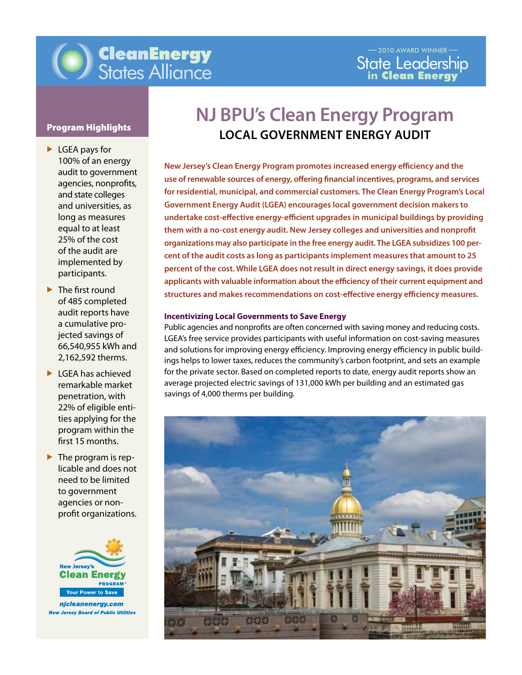

- ▶ LGEA pays for 100% of an energy audit to government agencies, nonprofits, and state colleges and universities, as long as measures equal to at least 25% of the cost of the audit are implemented by participants.
- ▶ The first round of 485 completed audit reports have a cumulative projected savings of 66,540,955 kWh and 2,162,592 therms.
- ▶ LGEA has achieved remarkable market penetration, with 22% of eligible entities applying for the program within the first 15 months.
- $\blacktriangleright$  The program is replicable and does not need to be limited to government agencies or nonprofit organizations.



**New Jersey Board of Public Utilities** 

# **NJ BPU's Clean Energy Program Program Highlights**<br>
LOCAL GOVERNMENT ENERGY AUDIT

applicants with valuable information about the efficiency of their current equipment and **New Jersey's Clean Energy Program promotes increased energy efficiency and the use of renewable sources of energy, offering financial incentives, programs, and services for residential, municipal, and commercial customers. The Clean Energy Program's Local Government Energy Audit (LGEA) encourages local government decision makers to undertake cost-effective energy-efficient upgrades in municipal buildings by providing them with a no-cost energy audit. New Jersey colleges and universities and nonprofit organizations may also participate in the free energy audit. The LGEA subsidizes 100 percent of the audit costs as long as participants implement measures that amount to 25 percent of the cost. While LGEA does not result in direct energy savings, it does provide structures and makes recommendations on cost-effective energy efficiency measures.** 

#### **Incentivizing Local Governments to Save Energy**

Public agencies and nonprofits are often concerned with saving money and reducing costs. LGEA's free service provides participants with useful information on cost-saving measures and solutions for improving energy efficiency. Improving energy efficiency in public buildings helps to lower taxes, reduces the community's carbon footprint, and sets an example for the private sector. Based on completed reports to date, energy audit reports show an average projected electric savings of 131,000 kWh per building and an estimated gas savings of 4,000 therms per building.